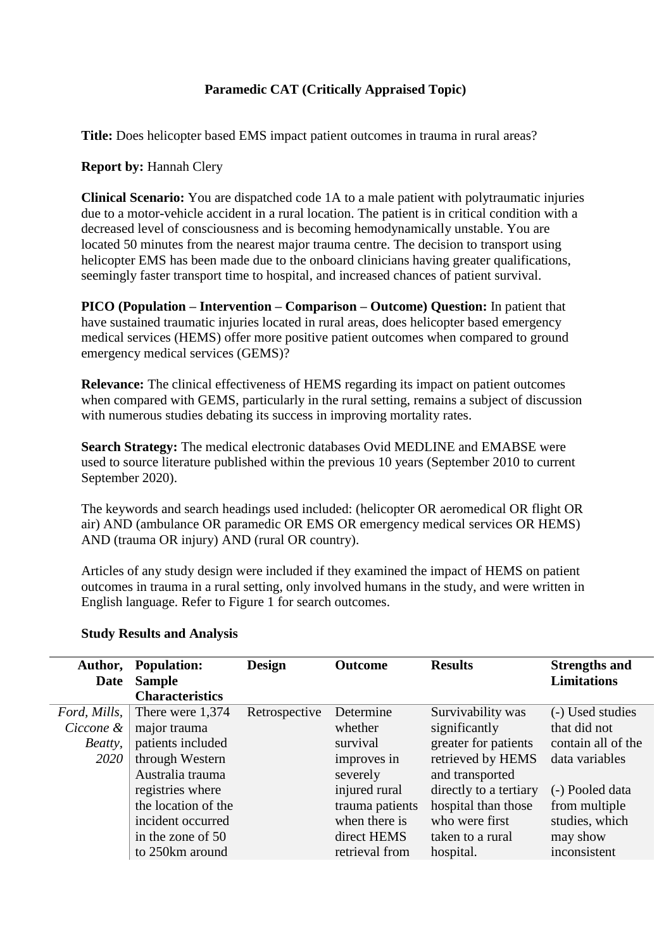# **Paramedic CAT (Critically Appraised Topic)**

**Title:** Does helicopter based EMS impact patient outcomes in trauma in rural areas?

### **Report by: Hannah Clery**

**Clinical Scenario:** You are dispatched code 1A to a male patient with polytraumatic injuries due to a motor-vehicle accident in a rural location. The patient is in critical condition with a decreased level of consciousness and is becoming hemodynamically unstable. You are located 50 minutes from the nearest major trauma centre. The decision to transport using helicopter EMS has been made due to the onboard clinicians having greater qualifications, seemingly faster transport time to hospital, and increased chances of patient survival.

**PICO (Population – Intervention – Comparison – Outcome) Question:** In patient that have sustained traumatic injuries located in rural areas, does helicopter based emergency medical services (HEMS) offer more positive patient outcomes when compared to ground emergency medical services (GEMS)?

**Relevance:** The clinical effectiveness of HEMS regarding its impact on patient outcomes when compared with GEMS, particularly in the rural setting, remains a subject of discussion with numerous studies debating its success in improving mortality rates.

**Search Strategy:** The medical electronic databases Ovid MEDLINE and EMABSE were used to source literature published within the previous 10 years (September 2010 to current September 2020).

The keywords and search headings used included: (helicopter OR aeromedical OR flight OR air) AND (ambulance OR paramedic OR EMS OR emergency medical services OR HEMS) AND (trauma OR injury) AND (rural OR country).

Articles of any study design were included if they examined the impact of HEMS on patient outcomes in trauma in a rural setting, only involved humans in the study, and were written in English language. Refer to Figure 1 for search outcomes.

| Author,<br>Date | <b>Population:</b><br><b>Sample</b> | <b>Design</b> | <b>Outcome</b>  | <b>Results</b>         | <b>Strengths and</b><br><b>Limitations</b> |
|-----------------|-------------------------------------|---------------|-----------------|------------------------|--------------------------------------------|
|                 | <b>Characteristics</b>              |               |                 |                        |                                            |
| Ford, Mills,    | There were 1,374                    | Retrospective | Determine       | Survivability was      | (-) Used studies                           |
| Ciccone &       | major trauma                        |               | whether         | significantly          | that did not                               |
| Beatty,         | patients included                   |               | survival        | greater for patients   | contain all of the                         |
| 2020            | through Western                     |               | improves in     | retrieved by HEMS      | data variables                             |
|                 | Australia trauma                    |               | severely        | and transported        |                                            |
|                 | registries where                    |               | injured rural   | directly to a tertiary | (-) Pooled data                            |
|                 | the location of the                 |               | trauma patients | hospital than those    | from multiple                              |
|                 | incident occurred                   |               | when there is   | who were first         | studies, which                             |
|                 | in the zone of 50                   |               | direct HEMS     | taken to a rural       | may show                                   |
|                 | to 250km around                     |               | retrieval from  | hospital.              | inconsistent                               |

## **Study Results and Analysis**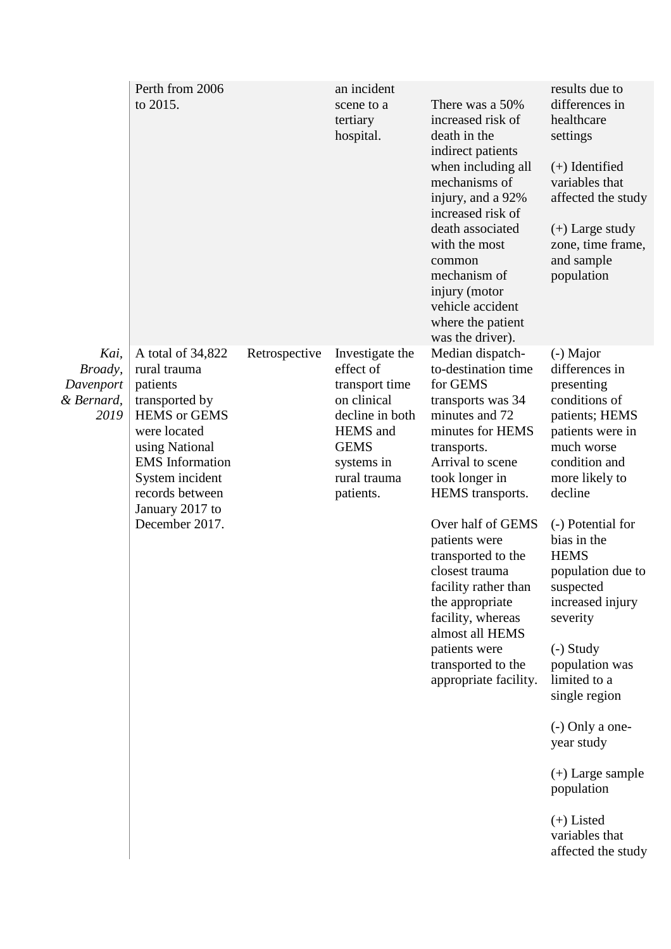|                                                    | Perth from 2006<br>to 2015.                                                                                                                                                                                                   |               | an incident<br>scene to a<br>tertiary<br>hospital.                                                                                                     | There was a 50%<br>increased risk of<br>death in the<br>indirect patients<br>when including all<br>mechanisms of<br>injury, and a 92%<br>increased risk of<br>death associated<br>with the most<br>common<br>mechanism of<br>injury (motor<br>vehicle accident<br>where the patient<br>was the driver).                                                                                                                  | results due to<br>differences in<br>healthcare<br>settings<br>$(+)$ Identified<br>variables that<br>affected the study<br>$(+)$ Large study<br>zone, time frame,<br>and sample<br>population                                                                                                                                                                                                                                                                                       |
|----------------------------------------------------|-------------------------------------------------------------------------------------------------------------------------------------------------------------------------------------------------------------------------------|---------------|--------------------------------------------------------------------------------------------------------------------------------------------------------|--------------------------------------------------------------------------------------------------------------------------------------------------------------------------------------------------------------------------------------------------------------------------------------------------------------------------------------------------------------------------------------------------------------------------|------------------------------------------------------------------------------------------------------------------------------------------------------------------------------------------------------------------------------------------------------------------------------------------------------------------------------------------------------------------------------------------------------------------------------------------------------------------------------------|
| Kai,<br>Broady,<br>Davenport<br>& Bernard,<br>2019 | A total of 34,822<br>rural trauma<br>patients<br>transported by<br><b>HEMS</b> or GEMS<br>were located<br>using National<br><b>EMS</b> Information<br>System incident<br>records between<br>January 2017 to<br>December 2017. | Retrospective | Investigate the<br>effect of<br>transport time<br>on clinical<br>decline in both<br>HEMS and<br><b>GEMS</b><br>systems in<br>rural trauma<br>patients. | Median dispatch-<br>to-destination time<br>for GEMS<br>transports was 34<br>minutes and 72<br>minutes for HEMS<br>transports.<br>Arrival to scene<br>took longer in<br>HEMS transports.<br>Over half of GEMS<br>patients were<br>transported to the<br>closest trauma<br>facility rather than<br>the appropriate<br>facility, whereas<br>almost all HEMS<br>patients were<br>transported to the<br>appropriate facility. | (-) Major<br>differences in<br>presenting<br>conditions of<br>patients; HEMS<br>patients were in<br>much worse<br>condition and<br>more likely to<br>decline<br>(-) Potential for<br>bias in the<br><b>HEMS</b><br>population due to<br>suspected<br>increased injury<br>severity<br>$(-)$ Study<br>population was<br>limited to a<br>single region<br>$(-)$ Only a one-<br>year study<br>$(+)$ Large sample<br>population<br>$(+)$ Listed<br>variables that<br>affected the study |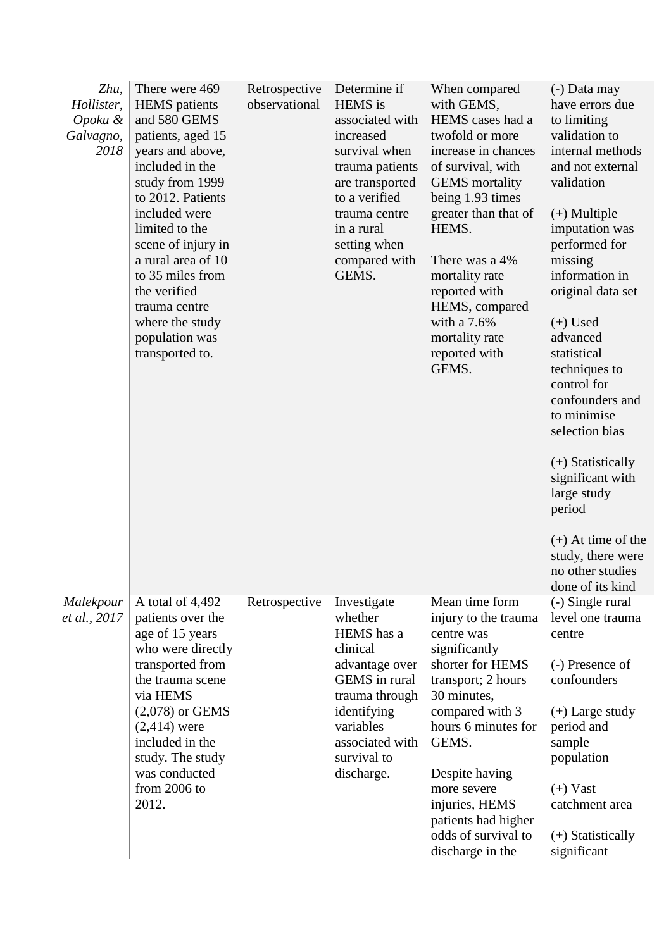| Zhu,<br>Hollister,<br>Opoku &<br>Galvagno,<br>2018 | There were 469<br><b>HEMS</b> patients<br>and 580 GEMS<br>patients, aged 15<br>years and above,<br>included in the<br>study from 1999<br>to 2012. Patients<br>included were<br>limited to the<br>scene of injury in<br>a rural area of 10<br>to 35 miles from<br>the verified<br>trauma centre<br>where the study<br>population was<br>transported to. | Retrospective<br>observational | Determine if<br><b>HEMS</b> is<br>associated with<br>increased<br>survival when<br>trauma patients<br>are transported<br>to a verified<br>trauma centre<br>in a rural<br>setting when<br>compared with<br>GEMS. | When compared<br>with GEMS,<br>HEMS cases had a<br>twofold or more<br>increase in chances<br>of survival, with<br><b>GEMS</b> mortality<br>being 1.93 times<br>greater than that of<br>HEMS.<br>There was a 4%<br>mortality rate<br>reported with<br>HEMS, compared<br>with a $7.6%$<br>mortality rate<br>reported with<br>GEMS. | (-) Data may<br>have errors due<br>to limiting<br>validation to<br>internal methods<br>and not external<br>validation<br>$(+)$ Multiple<br>imputation was<br>performed for<br>missing<br>information in<br>original data set<br>$(+)$ Used<br>advanced<br>statistical<br>techniques to<br>control for<br>confounders and<br>to minimise<br>selection bias<br>$(+)$ Statistically<br>significant with<br>large study<br>period<br>$(+)$ At time of the<br>study, there were<br>no other studies<br>done of its kind |
|----------------------------------------------------|--------------------------------------------------------------------------------------------------------------------------------------------------------------------------------------------------------------------------------------------------------------------------------------------------------------------------------------------------------|--------------------------------|-----------------------------------------------------------------------------------------------------------------------------------------------------------------------------------------------------------------|----------------------------------------------------------------------------------------------------------------------------------------------------------------------------------------------------------------------------------------------------------------------------------------------------------------------------------|--------------------------------------------------------------------------------------------------------------------------------------------------------------------------------------------------------------------------------------------------------------------------------------------------------------------------------------------------------------------------------------------------------------------------------------------------------------------------------------------------------------------|
| Malekpour<br>et al., 2017                          | A total of 4,492<br>patients over the<br>age of 15 years<br>who were directly<br>transported from<br>the trauma scene<br>via HEMS<br>$(2,078)$ or GEMS<br>$(2,414)$ were<br>included in the<br>study. The study<br>was conducted<br>from 2006 to<br>2012.                                                                                              | Retrospective                  | Investigate<br>whether<br>HEMS has a<br>clinical<br>advantage over<br>GEMS in rural<br>trauma through<br>identifying<br>variables<br>associated with<br>survival to<br>discharge.                               | Mean time form<br>injury to the trauma<br>centre was<br>significantly<br>shorter for HEMS<br>transport; 2 hours<br>30 minutes,<br>compared with 3<br>hours 6 minutes for<br>GEMS.<br>Despite having<br>more severe<br>injuries, HEMS<br>patients had higher<br>odds of survival to<br>discharge in the                           | (-) Single rural<br>level one trauma<br>centre<br>(-) Presence of<br>confounders<br>$(+)$ Large study<br>period and<br>sample<br>population<br>$(+)$ Vast<br>catchment area<br>$(+)$ Statistically<br>significant                                                                                                                                                                                                                                                                                                  |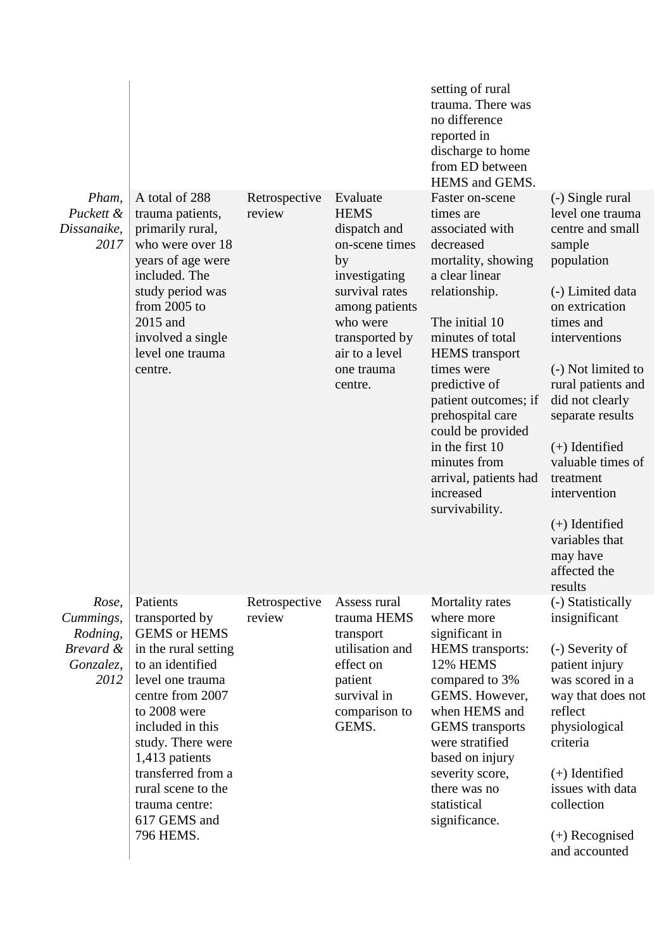|                                                                  |                                                                                                                                                                                                                                                                                                                    |                         |                                                                                                                                                                                               | setting of rural<br>trauma. There was<br>no difference<br>reported in<br>discharge to home<br>from ED between<br>HEMS and GEMS.                                                                                                                                                                                                                                                 |                                                                                                                                                                                                                                                                                                                                                                                            |
|------------------------------------------------------------------|--------------------------------------------------------------------------------------------------------------------------------------------------------------------------------------------------------------------------------------------------------------------------------------------------------------------|-------------------------|-----------------------------------------------------------------------------------------------------------------------------------------------------------------------------------------------|---------------------------------------------------------------------------------------------------------------------------------------------------------------------------------------------------------------------------------------------------------------------------------------------------------------------------------------------------------------------------------|--------------------------------------------------------------------------------------------------------------------------------------------------------------------------------------------------------------------------------------------------------------------------------------------------------------------------------------------------------------------------------------------|
| Pham,<br>Puckett &<br>Dissanaike,<br>2017                        | A total of 288<br>trauma patients,<br>primarily rural,<br>who were over 18<br>years of age were<br>included. The<br>study period was<br>from $2005$ to<br>2015 and<br>involved a single<br>level one trauma<br>centre.                                                                                             | Retrospective<br>review | Evaluate<br><b>HEMS</b><br>dispatch and<br>on-scene times<br>by<br>investigating<br>survival rates<br>among patients<br>who were<br>transported by<br>air to a level<br>one trauma<br>centre. | Faster on-scene<br>times are<br>associated with<br>decreased<br>mortality, showing<br>a clear linear<br>relationship.<br>The initial 10<br>minutes of total<br><b>HEMS</b> transport<br>times were<br>predictive of<br>patient outcomes; if<br>prehospital care<br>could be provided<br>in the first 10<br>minutes from<br>arrival, patients had<br>increased<br>survivability. | (-) Single rural<br>level one trauma<br>centre and small<br>sample<br>population<br>(-) Limited data<br>on extrication<br>times and<br>interventions<br>(-) Not limited to<br>rural patients and<br>did not clearly<br>separate results<br>$(+)$ Identified<br>valuable times of<br>treatment<br>intervention<br>$(+)$ Identified<br>variables that<br>may have<br>affected the<br>results |
| Rose,<br>Cummings,<br>Rodning,<br>Brevard &<br>Gonzalez,<br>2012 | Patients<br>transported by<br><b>GEMS</b> or <b>HEMS</b><br>in the rural setting<br>to an identified<br>level one trauma<br>centre from 2007<br>to 2008 were<br>included in this<br>study. There were<br>1,413 patients<br>transferred from a<br>rural scene to the<br>trauma centre:<br>617 GEMS and<br>796 HEMS. | Retrospective<br>review | Assess rural<br>trauma HEMS<br>transport<br>utilisation and<br>effect on<br>patient<br>survival in<br>comparison to<br>GEMS.                                                                  | Mortality rates<br>where more<br>significant in<br><b>HEMS</b> transports:<br>12% HEMS<br>compared to 3%<br>GEMS. However,<br>when HEMS and<br><b>GEMS</b> transports<br>were stratified<br>based on injury<br>severity score,<br>there was no<br>statistical<br>significance.                                                                                                  | (-) Statistically<br>insignificant<br>(-) Severity of<br>patient injury<br>was scored in a<br>way that does not<br>reflect<br>physiological<br>criteria<br>$(+)$ Identified<br>issues with data<br>collection<br>$(+)$ Recognised<br>and accounted                                                                                                                                         |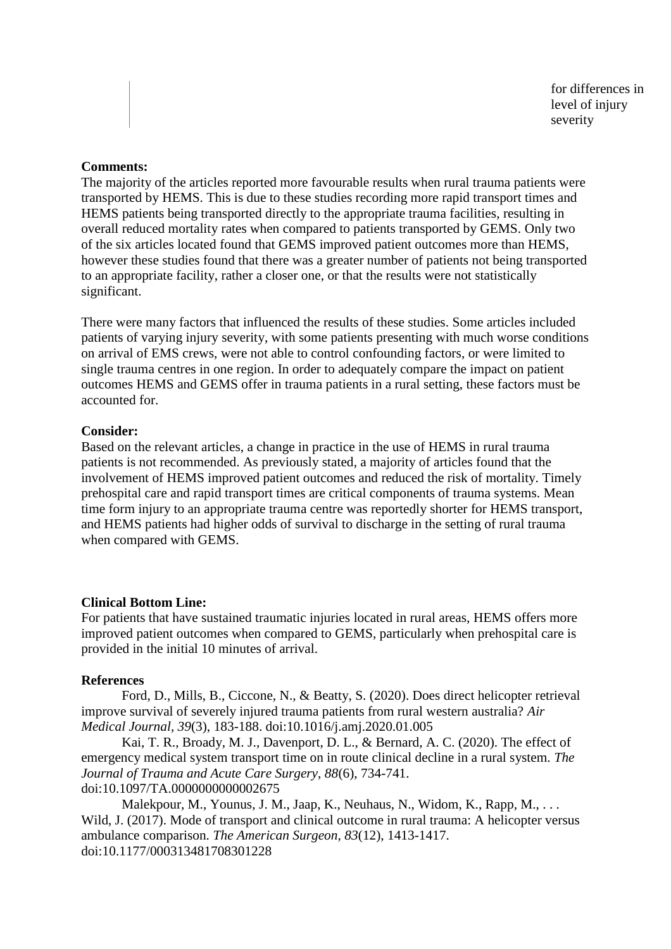for differences in level of injury severity

### **Comments:**

The majority of the articles reported more favourable results when rural trauma patients were transported by HEMS. This is due to these studies recording more rapid transport times and HEMS patients being transported directly to the appropriate trauma facilities, resulting in overall reduced mortality rates when compared to patients transported by GEMS. Only two of the six articles located found that GEMS improved patient outcomes more than HEMS, however these studies found that there was a greater number of patients not being transported to an appropriate facility, rather a closer one, or that the results were not statistically significant.

There were many factors that influenced the results of these studies. Some articles included patients of varying injury severity, with some patients presenting with much worse conditions on arrival of EMS crews, were not able to control confounding factors, or were limited to single trauma centres in one region. In order to adequately compare the impact on patient outcomes HEMS and GEMS offer in trauma patients in a rural setting, these factors must be accounted for.

#### **Consider:**

Based on the relevant articles, a change in practice in the use of HEMS in rural trauma patients is not recommended. As previously stated, a majority of articles found that the involvement of HEMS improved patient outcomes and reduced the risk of mortality. Timely prehospital care and rapid transport times are critical components of trauma systems. Mean time form injury to an appropriate trauma centre was reportedly shorter for HEMS transport, and HEMS patients had higher odds of survival to discharge in the setting of rural trauma when compared with GEMS.

#### **Clinical Bottom Line:**

For patients that have sustained traumatic injuries located in rural areas, HEMS offers more improved patient outcomes when compared to GEMS, particularly when prehospital care is provided in the initial 10 minutes of arrival.

#### **References**

Ford, D., Mills, B., Ciccone, N., & Beatty, S. (2020). Does direct helicopter retrieval improve survival of severely injured trauma patients from rural western australia? *Air Medical Journal, 39*(3), 183-188. doi:10.1016/j.amj.2020.01.005

Kai, T. R., Broady, M. J., Davenport, D. L., & Bernard, A. C. (2020). The effect of emergency medical system transport time on in route clinical decline in a rural system. *The Journal of Trauma and Acute Care Surgery, 88*(6), 734-741. doi:10.1097/TA.0000000000002675

Malekpour, M., Younus, J. M., Jaap, K., Neuhaus, N., Widom, K., Rapp, M., ... Wild, J. (2017). Mode of transport and clinical outcome in rural trauma: A helicopter versus ambulance comparison. *The American Surgeon, 83*(12), 1413-1417. doi:10.1177/000313481708301228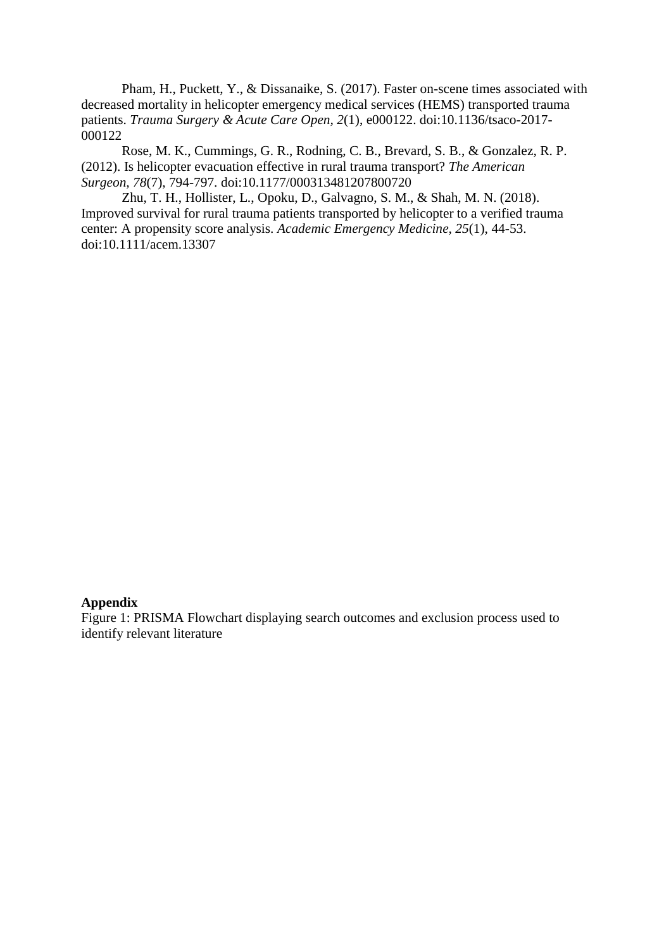Pham, H., Puckett, Y., & Dissanaike, S. (2017). Faster on-scene times associated with decreased mortality in helicopter emergency medical services (HEMS) transported trauma patients. *Trauma Surgery & Acute Care Open, 2*(1), e000122. doi:10.1136/tsaco-2017- 000122

Rose, M. K., Cummings, G. R., Rodning, C. B., Brevard, S. B., & Gonzalez, R. P. (2012). Is helicopter evacuation effective in rural trauma transport? *The American Surgeon, 78*(7), 794-797. doi:10.1177/000313481207800720

Zhu, T. H., Hollister, L., Opoku, D., Galvagno, S. M., & Shah, M. N. (2018). Improved survival for rural trauma patients transported by helicopter to a verified trauma center: A propensity score analysis. *Academic Emergency Medicine, 25*(1), 44-53. doi:10.1111/acem.13307

### **Appendix**

Figure 1: PRISMA Flowchart displaying search outcomes and exclusion process used to identify relevant literature